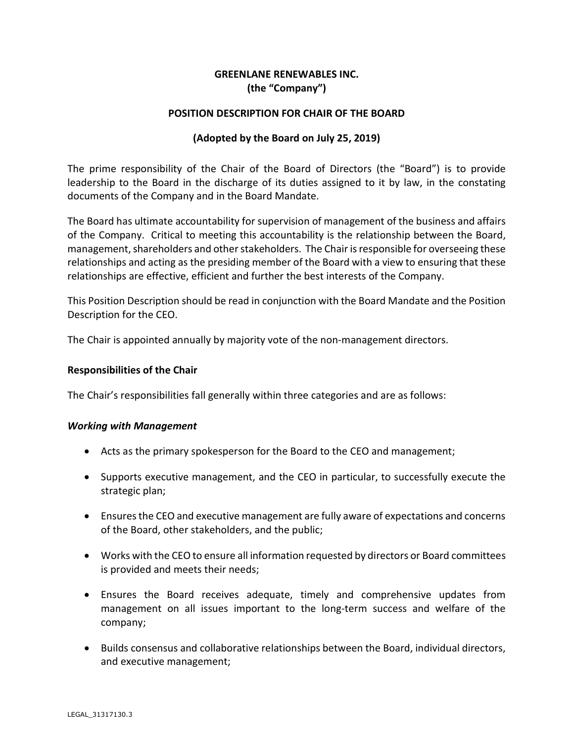# GREENLANE RENEWABLES INC. (the "Company")

### POSITION DESCRIPTION FOR CHAIR OF THE BOARD

### (Adopted by the Board on July 25, 2019)

The prime responsibility of the Chair of the Board of Directors (the "Board") is to provide leadership to the Board in the discharge of its duties assigned to it by law, in the constating documents of the Company and in the Board Mandate.

The Board has ultimate accountability for supervision of management of the business and affairs of the Company. Critical to meeting this accountability is the relationship between the Board, management, shareholders and other stakeholders. The Chair is responsible for overseeing these relationships and acting as the presiding member of the Board with a view to ensuring that these relationships are effective, efficient and further the best interests of the Company.

This Position Description should be read in conjunction with the Board Mandate and the Position Description for the CEO.

The Chair is appointed annually by majority vote of the non-management directors.

#### Responsibilities of the Chair

The Chair's responsibilities fall generally within three categories and are as follows:

#### Working with Management

- Acts as the primary spokesperson for the Board to the CEO and management;
- Supports executive management, and the CEO in particular, to successfully execute the strategic plan;
- Ensures the CEO and executive management are fully aware of expectations and concerns of the Board, other stakeholders, and the public;
- Works with the CEO to ensure all information requested by directors or Board committees is provided and meets their needs;
- Ensures the Board receives adequate, timely and comprehensive updates from management on all issues important to the long-term success and welfare of the company;
- Builds consensus and collaborative relationships between the Board, individual directors, and executive management;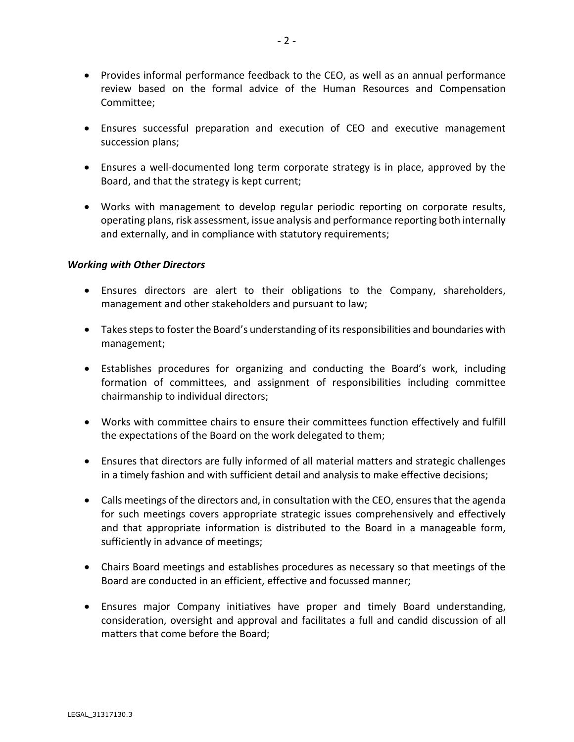- Provides informal performance feedback to the CEO, as well as an annual performance review based on the formal advice of the Human Resources and Compensation Committee;
- Ensures successful preparation and execution of CEO and executive management succession plans;
- Ensures a well-documented long term corporate strategy is in place, approved by the Board, and that the strategy is kept current;
- Works with management to develop regular periodic reporting on corporate results, operating plans, risk assessment, issue analysis and performance reporting both internally and externally, and in compliance with statutory requirements;

#### Working with Other Directors

- Ensures directors are alert to their obligations to the Company, shareholders, management and other stakeholders and pursuant to law;
- Takes steps to foster the Board's understanding of its responsibilities and boundaries with management;
- Establishes procedures for organizing and conducting the Board's work, including formation of committees, and assignment of responsibilities including committee chairmanship to individual directors;
- Works with committee chairs to ensure their committees function effectively and fulfill the expectations of the Board on the work delegated to them;
- Ensures that directors are fully informed of all material matters and strategic challenges in a timely fashion and with sufficient detail and analysis to make effective decisions;
- Calls meetings of the directors and, in consultation with the CEO, ensures that the agenda for such meetings covers appropriate strategic issues comprehensively and effectively and that appropriate information is distributed to the Board in a manageable form, sufficiently in advance of meetings;
- Chairs Board meetings and establishes procedures as necessary so that meetings of the Board are conducted in an efficient, effective and focussed manner;
- Ensures major Company initiatives have proper and timely Board understanding, consideration, oversight and approval and facilitates a full and candid discussion of all matters that come before the Board;